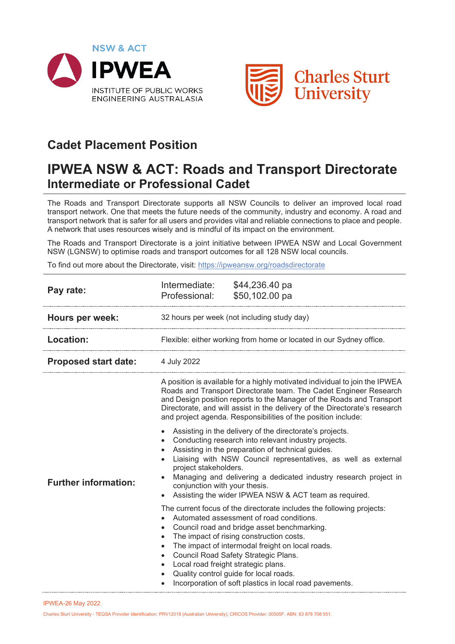



## **Cadet Placement Position**

## **IPWEA NSW & ACT: Roads and Transport Directorate Intermediate or Professional Cadet**

The Roads and Transport Directorate supports all NSW Councils to deliver an improved local road transport network. One that meets the future needs of the community, industry and economy. A road and transport network that is safer for all users and provides vital and reliable connections to place and people. A network that uses resources wisely and is mindful of its impact on the environment.

The Roads and Transport Directorate is a joint initiative between IPWEA NSW and Local Government NSW (LGNSW) to optimise roads and transport outcomes for all 128 NSW local councils.

To find out more about the Directorate, visit:<https://ipweansw.org/roadsdirectorate>

| Pay rate:                   | Intermediate:<br>Professional:                                             | \$44,236.40 pa<br>\$50,102.00 pa                                                                                                                                                                                                                                                                                                                                                                                                                                                                                                                                                                                                                                                                                                                 |
|-----------------------------|----------------------------------------------------------------------------|--------------------------------------------------------------------------------------------------------------------------------------------------------------------------------------------------------------------------------------------------------------------------------------------------------------------------------------------------------------------------------------------------------------------------------------------------------------------------------------------------------------------------------------------------------------------------------------------------------------------------------------------------------------------------------------------------------------------------------------------------|
| Hours per week:             | 32 hours per week (not including study day)                                |                                                                                                                                                                                                                                                                                                                                                                                                                                                                                                                                                                                                                                                                                                                                                  |
| <b>Location:</b>            | Flexible: either working from home or located in our Sydney office.        |                                                                                                                                                                                                                                                                                                                                                                                                                                                                                                                                                                                                                                                                                                                                                  |
| <b>Proposed start date:</b> | 4 July 2022                                                                |                                                                                                                                                                                                                                                                                                                                                                                                                                                                                                                                                                                                                                                                                                                                                  |
| <b>Further information:</b> | $\bullet$<br>project stakeholders.<br>conjunction with your thesis.        | A position is available for a highly motivated individual to join the IPWEA<br>Roads and Transport Directorate team. The Cadet Engineer Research<br>and Design position reports to the Manager of the Roads and Transport<br>Directorate, and will assist in the delivery of the Directorate's research<br>and project agenda. Responsibilities of the position include:<br>Assisting in the delivery of the directorate's projects.<br>Conducting research into relevant industry projects.<br>Assisting in the preparation of technical guides.<br>Liaising with NSW Council representatives, as well as external<br>Managing and delivering a dedicated industry research project in<br>Assisting the wider IPWEA NSW & ACT team as required. |
|                             | $\bullet$<br>$\bullet$<br>$\bullet$<br>Local road freight strategic plans. | The current focus of the directorate includes the following projects:<br>Automated assessment of road conditions.<br>Council road and bridge asset benchmarking.<br>The impact of rising construction costs.<br>The impact of intermodal freight on local roads.<br>Council Road Safety Strategic Plans.<br>Quality control guide for local roads.<br>Incorporation of soft plastics in local road pavements.                                                                                                                                                                                                                                                                                                                                    |

IPWEA-26 May 2022

Charles Sturt University - TEQSA Provider Identification: PRV12018 (Australian University). CRICOS Provider: 00005F. ABN: 83 878 708 551.